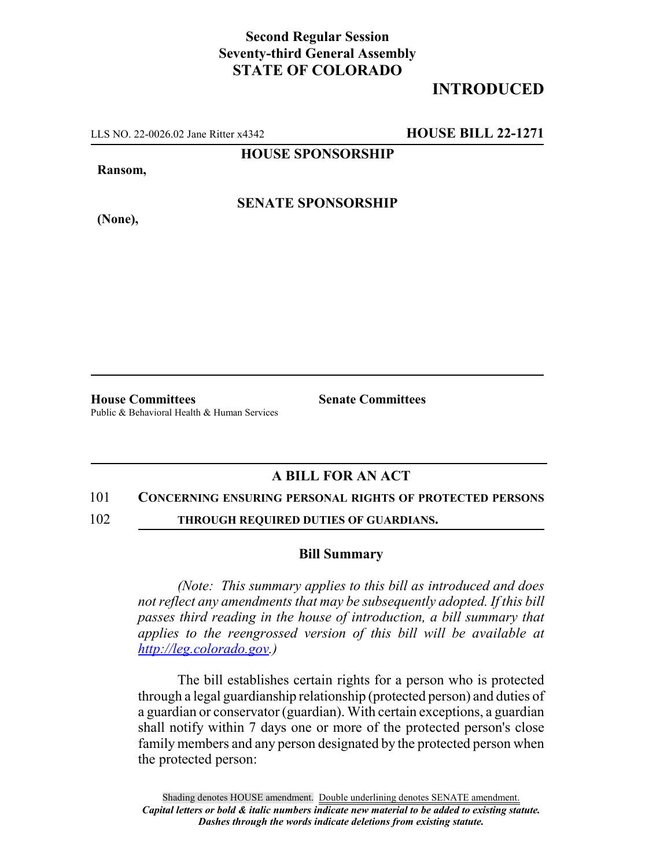## **Second Regular Session Seventy-third General Assembly STATE OF COLORADO**

# **INTRODUCED**

LLS NO. 22-0026.02 Jane Ritter x4342 **HOUSE BILL 22-1271**

**HOUSE SPONSORSHIP**

**Ransom,**

**(None),**

**SENATE SPONSORSHIP**

**House Committees Senate Committees** Public & Behavioral Health & Human Services

### **A BILL FOR AN ACT**

### 101 **CONCERNING ENSURING PERSONAL RIGHTS OF PROTECTED PERSONS**

102 **THROUGH REQUIRED DUTIES OF GUARDIANS.**

### **Bill Summary**

*(Note: This summary applies to this bill as introduced and does not reflect any amendments that may be subsequently adopted. If this bill passes third reading in the house of introduction, a bill summary that applies to the reengrossed version of this bill will be available at http://leg.colorado.gov.)*

The bill establishes certain rights for a person who is protected through a legal guardianship relationship (protected person) and duties of a guardian or conservator (guardian). With certain exceptions, a guardian shall notify within 7 days one or more of the protected person's close family members and any person designated by the protected person when the protected person: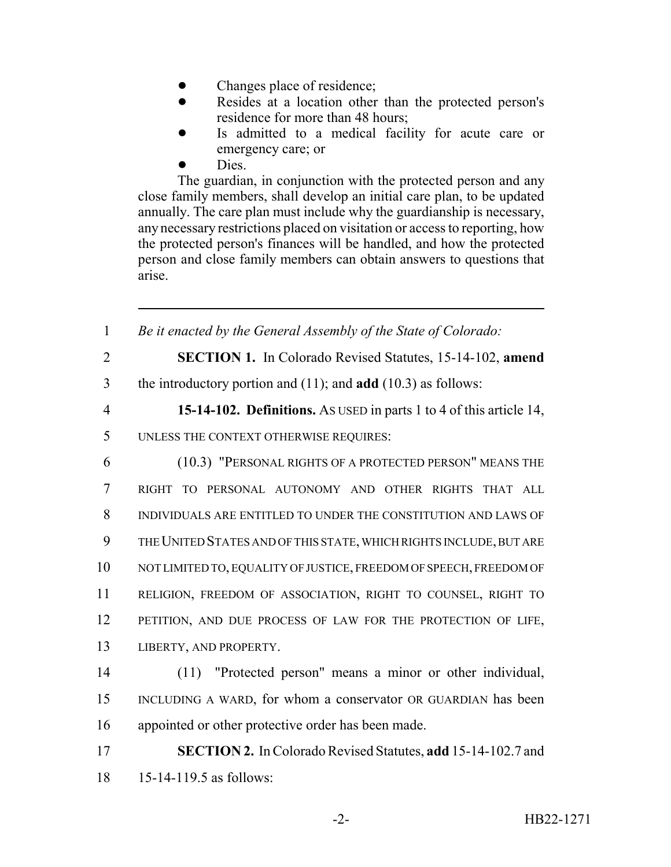- Changes place of residence;
- Resides at a location other than the protected person's residence for more than 48 hours;
- Is admitted to a medical facility for acute care or emergency care; or
- Dies.

The guardian, in conjunction with the protected person and any close family members, shall develop an initial care plan, to be updated annually. The care plan must include why the guardianship is necessary, any necessary restrictions placed on visitation or access to reporting, how the protected person's finances will be handled, and how the protected person and close family members can obtain answers to questions that arise.

 *Be it enacted by the General Assembly of the State of Colorado:* **SECTION 1.** In Colorado Revised Statutes, 15-14-102, **amend** the introductory portion and (11); and **add** (10.3) as follows: **15-14-102. Definitions.** AS USED in parts 1 to 4 of this article 14, UNLESS THE CONTEXT OTHERWISE REQUIRES: (10.3) "PERSONAL RIGHTS OF A PROTECTED PERSON" MEANS THE RIGHT TO PERSONAL AUTONOMY AND OTHER RIGHTS THAT ALL INDIVIDUALS ARE ENTITLED TO UNDER THE CONSTITUTION AND LAWS OF THE UNITED STATES AND OF THIS STATE, WHICH RIGHTS INCLUDE, BUT ARE NOT LIMITED TO, EQUALITY OF JUSTICE, FREEDOM OF SPEECH, FREEDOM OF RELIGION, FREEDOM OF ASSOCIATION, RIGHT TO COUNSEL, RIGHT TO PETITION, AND DUE PROCESS OF LAW FOR THE PROTECTION OF LIFE, LIBERTY, AND PROPERTY. (11) "Protected person" means a minor or other individual, INCLUDING A WARD, for whom a conservator OR GUARDIAN has been appointed or other protective order has been made. **SECTION 2.** In Colorado Revised Statutes, **add** 15-14-102.7 and 15-14-119.5 as follows: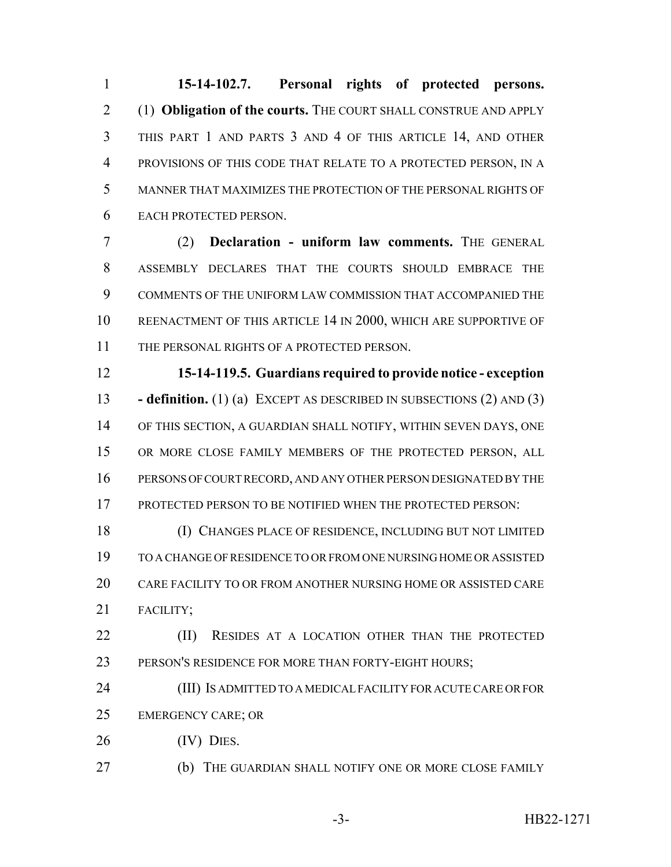**15-14-102.7. Personal rights of protected persons.** (1) **Obligation of the courts.** THE COURT SHALL CONSTRUE AND APPLY THIS PART 1 AND PARTS 3 AND 4 OF THIS ARTICLE 14, AND OTHER PROVISIONS OF THIS CODE THAT RELATE TO A PROTECTED PERSON, IN A MANNER THAT MAXIMIZES THE PROTECTION OF THE PERSONAL RIGHTS OF EACH PROTECTED PERSON.

 (2) **Declaration - uniform law comments.** THE GENERAL ASSEMBLY DECLARES THAT THE COURTS SHOULD EMBRACE THE COMMENTS OF THE UNIFORM LAW COMMISSION THAT ACCOMPANIED THE REENACTMENT OF THIS ARTICLE 14 IN 2000, WHICH ARE SUPPORTIVE OF THE PERSONAL RIGHTS OF A PROTECTED PERSON.

 **15-14-119.5. Guardians required to provide notice - exception - definition.** (1) (a) EXCEPT AS DESCRIBED IN SUBSECTIONS (2) AND (3) OF THIS SECTION, A GUARDIAN SHALL NOTIFY, WITHIN SEVEN DAYS, ONE OR MORE CLOSE FAMILY MEMBERS OF THE PROTECTED PERSON, ALL PERSONS OF COURT RECORD, AND ANY OTHER PERSON DESIGNATED BY THE 17 PROTECTED PERSON TO BE NOTIFIED WHEN THE PROTECTED PERSON:

 (I) CHANGES PLACE OF RESIDENCE, INCLUDING BUT NOT LIMITED TO A CHANGE OF RESIDENCE TO OR FROM ONE NURSING HOME OR ASSISTED CARE FACILITY TO OR FROM ANOTHER NURSING HOME OR ASSISTED CARE FACILITY;

**(II)** RESIDES AT A LOCATION OTHER THAN THE PROTECTED PERSON'S RESIDENCE FOR MORE THAN FORTY-EIGHT HOURS;

 (III) IS ADMITTED TO A MEDICAL FACILITY FOR ACUTE CARE OR FOR EMERGENCY CARE; OR

26 (IV) DIES.

(b) THE GUARDIAN SHALL NOTIFY ONE OR MORE CLOSE FAMILY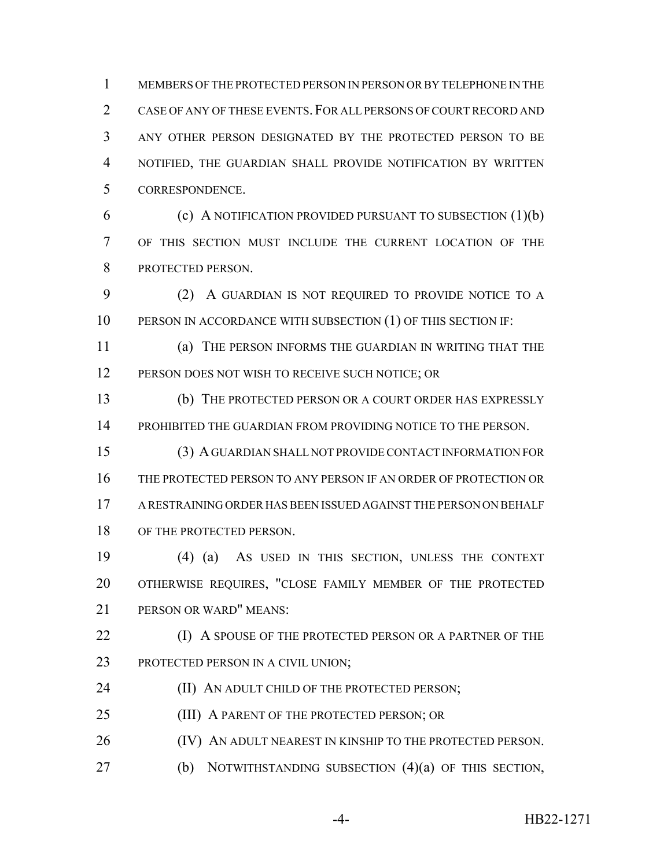MEMBERS OF THE PROTECTED PERSON IN PERSON OR BY TELEPHONE IN THE 2 CASE OF ANY OF THESE EVENTS. FOR ALL PERSONS OF COURT RECORD AND ANY OTHER PERSON DESIGNATED BY THE PROTECTED PERSON TO BE NOTIFIED, THE GUARDIAN SHALL PROVIDE NOTIFICATION BY WRITTEN CORRESPONDENCE.

 (c) A NOTIFICATION PROVIDED PURSUANT TO SUBSECTION (1)(b) OF THIS SECTION MUST INCLUDE THE CURRENT LOCATION OF THE 8 PROTECTED PERSON.

 (2) A GUARDIAN IS NOT REQUIRED TO PROVIDE NOTICE TO A 10 PERSON IN ACCORDANCE WITH SUBSECTION (1) OF THIS SECTION IF:

 (a) THE PERSON INFORMS THE GUARDIAN IN WRITING THAT THE 12 PERSON DOES NOT WISH TO RECEIVE SUCH NOTICE; OR

 (b) THE PROTECTED PERSON OR A COURT ORDER HAS EXPRESSLY PROHIBITED THE GUARDIAN FROM PROVIDING NOTICE TO THE PERSON.

 (3) A GUARDIAN SHALL NOT PROVIDE CONTACT INFORMATION FOR THE PROTECTED PERSON TO ANY PERSON IF AN ORDER OF PROTECTION OR A RESTRAINING ORDER HAS BEEN ISSUED AGAINST THE PERSON ON BEHALF 18 OF THE PROTECTED PERSON.

 (4) (a) AS USED IN THIS SECTION, UNLESS THE CONTEXT OTHERWISE REQUIRES, "CLOSE FAMILY MEMBER OF THE PROTECTED PERSON OR WARD" MEANS:

**(I)** A SPOUSE OF THE PROTECTED PERSON OR A PARTNER OF THE 23 PROTECTED PERSON IN A CIVIL UNION;

**(II) AN ADULT CHILD OF THE PROTECTED PERSON;** 

25 (III) A PARENT OF THE PROTECTED PERSON; OR

26 (IV) AN ADULT NEAREST IN KINSHIP TO THE PROTECTED PERSON.

(b) NOTWITHSTANDING SUBSECTION (4)(a) OF THIS SECTION,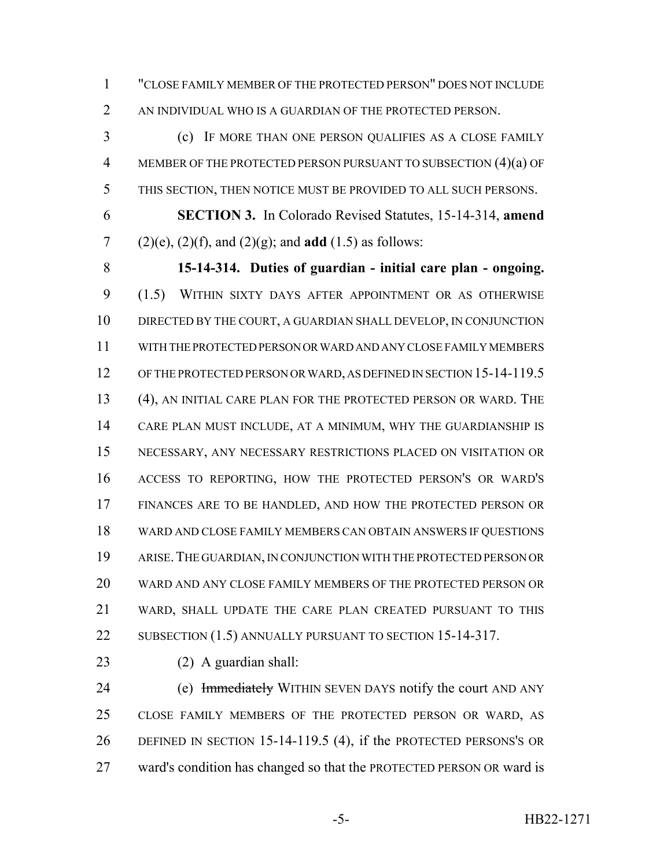"CLOSE FAMILY MEMBER OF THE PROTECTED PERSON" DOES NOT INCLUDE 2 AN INDIVIDUAL WHO IS A GUARDIAN OF THE PROTECTED PERSON.

 (c) IF MORE THAN ONE PERSON QUALIFIES AS A CLOSE FAMILY MEMBER OF THE PROTECTED PERSON PURSUANT TO SUBSECTION (4)(a) OF THIS SECTION, THEN NOTICE MUST BE PROVIDED TO ALL SUCH PERSONS.

 **SECTION 3.** In Colorado Revised Statutes, 15-14-314, **amend** (2)(e), (2)(f), and (2)(g); and **add** (1.5) as follows:

 **15-14-314. Duties of guardian - initial care plan - ongoing.** (1.5) WITHIN SIXTY DAYS AFTER APPOINTMENT OR AS OTHERWISE DIRECTED BY THE COURT, A GUARDIAN SHALL DEVELOP, IN CONJUNCTION WITH THE PROTECTED PERSON OR WARD AND ANY CLOSE FAMILY MEMBERS 12 OF THE PROTECTED PERSON OR WARD, AS DEFINED IN SECTION 15-14-119.5 (4), AN INITIAL CARE PLAN FOR THE PROTECTED PERSON OR WARD. THE CARE PLAN MUST INCLUDE, AT A MINIMUM, WHY THE GUARDIANSHIP IS NECESSARY, ANY NECESSARY RESTRICTIONS PLACED ON VISITATION OR ACCESS TO REPORTING, HOW THE PROTECTED PERSON'S OR WARD'S FINANCES ARE TO BE HANDLED, AND HOW THE PROTECTED PERSON OR WARD AND CLOSE FAMILY MEMBERS CAN OBTAIN ANSWERS IF QUESTIONS ARISE.THE GUARDIAN, IN CONJUNCTION WITH THE PROTECTED PERSON OR WARD AND ANY CLOSE FAMILY MEMBERS OF THE PROTECTED PERSON OR WARD, SHALL UPDATE THE CARE PLAN CREATED PURSUANT TO THIS 22 SUBSECTION (1.5) ANNUALLY PURSUANT TO SECTION 15-14-317.

(2) A guardian shall:

24 (e) Immediately WITHIN SEVEN DAYS notify the court AND ANY CLOSE FAMILY MEMBERS OF THE PROTECTED PERSON OR WARD, AS DEFINED IN SECTION 15-14-119.5 (4), if the PROTECTED PERSONS'S OR ward's condition has changed so that the PROTECTED PERSON OR ward is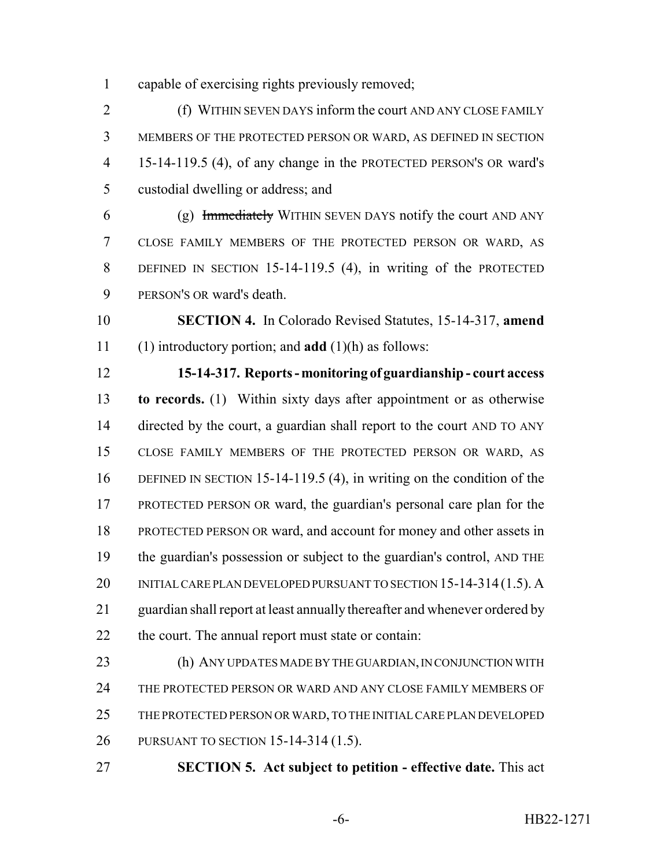capable of exercising rights previously removed;

 (f) WITHIN SEVEN DAYS inform the court AND ANY CLOSE FAMILY MEMBERS OF THE PROTECTED PERSON OR WARD, AS DEFINED IN SECTION 15-14-119.5 (4), of any change in the PROTECTED PERSON'S OR ward's custodial dwelling or address; and

6 (g) Immediately WITHIN SEVEN DAYS notify the court AND ANY CLOSE FAMILY MEMBERS OF THE PROTECTED PERSON OR WARD, AS DEFINED IN SECTION 15-14-119.5 (4), in writing of the PROTECTED PERSON'S OR ward's death.

 **SECTION 4.** In Colorado Revised Statutes, 15-14-317, **amend** (1) introductory portion; and **add** (1)(h) as follows:

 **15-14-317. Reports - monitoring of guardianship - court access to records.** (1) Within sixty days after appointment or as otherwise 14 directed by the court, a guardian shall report to the court AND TO ANY CLOSE FAMILY MEMBERS OF THE PROTECTED PERSON OR WARD, AS DEFINED IN SECTION 15-14-119.5 (4), in writing on the condition of the PROTECTED PERSON OR ward, the guardian's personal care plan for the PROTECTED PERSON OR ward, and account for money and other assets in the guardian's possession or subject to the guardian's control, AND THE 20 INITIAL CARE PLAN DEVELOPED PURSUANT TO SECTION 15-14-314 (1.5). A guardian shall report at least annually thereafter and whenever ordered by 22 the court. The annual report must state or contain:

 (h) ANY UPDATES MADE BY THE GUARDIAN, IN CONJUNCTION WITH THE PROTECTED PERSON OR WARD AND ANY CLOSE FAMILY MEMBERS OF THE PROTECTED PERSON OR WARD, TO THE INITIAL CARE PLAN DEVELOPED PURSUANT TO SECTION 15-14-314 (1.5).

**SECTION 5. Act subject to petition - effective date.** This act